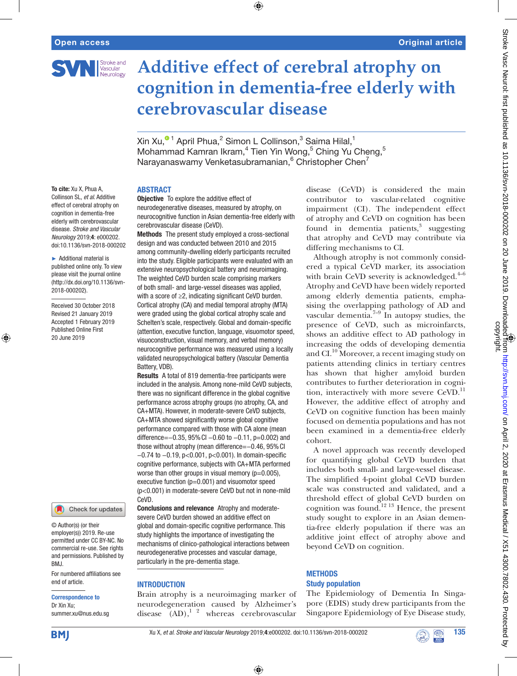

# **Additive effect of cerebral atrophy on cognition in dementia-free elderly with cerebrovascular disease**

Xin Xu, $^{\mathbf{\bullet} \, \mathbf{1}}$  April Phua, $^2$  Simon L Collinson, $^3$  Saima Hilal, $^1$ Mohammad Kamran Ikram,<sup>4</sup> Tien Yin Wong,<sup>5</sup> Ching Yu Cheng,<sup>5</sup> Narayanaswamy Venketasubramanian, <sup>6</sup> Christopher Chen<sup>7</sup>

 $\bigoplus$ 

## **ABSTRACT**

To cite: Xu X, Phua A, Collinson SL, *et al*. Additive effect of cerebral atrophy on cognition in dementia-free elderly with cerebrovascular disease. *Stroke and Vascular Neurology* 2019;4: e000202. doi:10.1136/svn-2018-000202

► Additional material is published online only. To view please visit the journal online (http://dx.doi.org/10.1136/svn-2018-000202).

Received 30 October 2018 Revised 21 January 2019 Accepted 1 February 2019 Published Online First 20 June 2019

⊕



© Author(s) (or their employer(s)) 2019. Re-use permitted under CC BY-NC. No commercial re-use. See rights and permissions. Published by BMJ.

For numbered affiliations see end of article.

#### Correspondence to

Dr Xin Xu; summer.xu@nus.edu.sg **Objective** To explore the additive effect of neurodegenerative diseases, measured by atrophy, on neurocognitive function in Asian dementia-free elderly with cerebrovascular disease (CeVD).

Methods The present study employed a cross-sectional design and was conducted between 2010 and 2015 among community-dwelling elderly participants recruited into the study. Eligible participants were evaluated with an extensive neuropsychological battery and neuroimaging. The weighted CeVD burden scale comprising markers of both small- and large-vessel diseases was applied, with a score of ≥2, indicating significant CeVD burden. Cortical atrophy (CA) and medial temporal atrophy (MTA) were graded using the global cortical atrophy scale and Schelten's scale, respectively. Global and domain-specific (attention, executive function, language, visuomotor speed, visuoconstruction, visual memory, and verbal memory) neurocognitive performance was measured using a locally validated neuropsychological battery (Vascular Dementia Battery, VDB).

Results A total of 819 dementia-free participants were included in the analysis. Among none-mild CeVD subjects, there was no significant difference in the global cognitive performance across atrophy groups (no atrophy, CA, and CA+MTA). However, in moderate-severe CeVD subjects, CA+MTA showed significantly worse global cognitive performance compared with those with CA alone (mean difference=−0.35, 95%CI −0.60 to −0.11, p=0.002) and those without atrophy (mean difference=−0.46, 95%CI −0.74 to −0.19, p<0.001, p<0.001). In domain-specific cognitive performance, subjects with CA+MTA performed worse than other groups in visual memory ( $p=0.005$ ), executive function (p=0.001) and visuomotor speed (p<0.001) in moderate-severe CeVD but not in none-mild CeVD.

Conclusions and relevance Atrophy and moderatesevere CeVD burden showed an additive effect on global and domain-specific cognitive performance. This study highlights the importance of investigating the mechanisms of clinico-pathological interactions between neurodegenerative processes and vascular damage, particularly in the pre-dementia stage.

## **INTRODUCTION**

Brain atrophy is a neuroimaging marker of neurodegeneration caused by Alzheimer's disease  $(AD)$ ,<sup>1</sup> <sup>2</sup> whereas cerebrovascular

disease (CeVD) is considered the main contributor to vascular-related cognitive impairment (CI). The independent effect of atrophy and CeVD on cognition has been found in dementia patients,<sup>3</sup> suggesting that atrophy and CeVD may contribute via differing mechanisms to CI.

Although atrophy is not commonly considered a typical CeVD marker, its association with brain CeVD severity is acknowledged. $4-6$ Atrophy and CeVD have been widely reported among elderly dementia patients, emphasising the overlapping pathology of AD and vascular dementia. $7^{-9}$  In autopsy studies, the presence of CeVD, such as microinfarcts, shows an additive effect to AD pathology in increasing the odds of developing dementia and CI.<sup>10</sup> Moreover, a recent imaging study on patients attending clinics in tertiary centres has shown that higher amyloid burden contributes to further deterioration in cognition, interactively with more severe CeVD.<sup>11</sup> However, the additive effect of atrophy and CeVD on cognitive function has been mainly focused on dementia populations and has not been examined in a dementia-free elderly cohort.

A novel approach was recently developed for quantifying global CeVD burden that includes both small- and large-vessel disease. The simplified 4-point global CeVD burden scale was constructed and validated, and a threshold effect of global CeVD burden on cognition was found.<sup>12 13</sup> Hence, the present study sought to explore in an Asian dementia-free elderly population if there was an additive joint effect of atrophy above and beyond CeVD on cognition.

## **METHODS** Study population

The Epidemiology of Dementia In Singapore (EDIS) study drew participants from the Singapore Epidemiology of Eye Disease study,

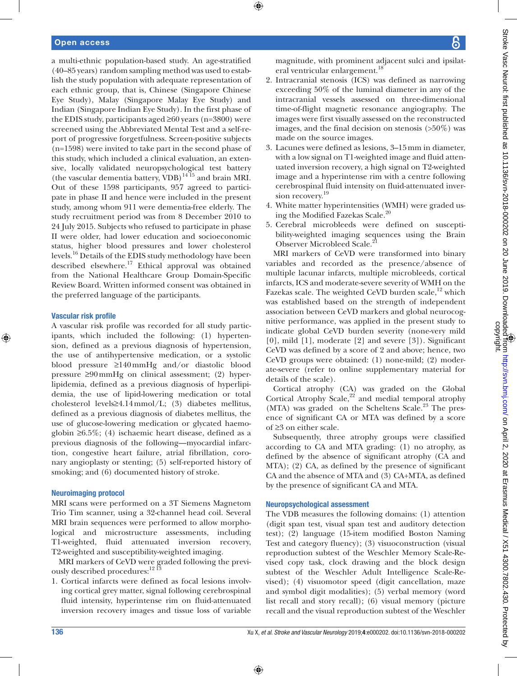## Open access

a multi-ethnic population-based study. An age-stratified (40–85 years) random sampling method was used to establish the study population with adequate representation of each ethnic group, that is, Chinese (Singapore Chinese Eye Study), Malay (Singapore Malay Eye Study) and Indian (Singapore Indian Eye Study). In the first phase of the EDIS study, participants aged ≥60 years (n=3800) were screened using the Abbreviated Mental Test and a self-report of progressive forgetfulness. Screen-positive subjects (n=1598) were invited to take part in the second phase of this study, which included a clinical evaluation, an extensive, locally validated neuropsychological test battery (the vascular dementia battery,  $VDB$ )<sup>14 15</sup> and brain MRI. Out of these 1598 participants, 957 agreed to participate in phase II and hence were included in the present study, among whom 911 were dementia-free elderly. The study recruitment period was from 8 December 2010 to 24 July 2015. Subjects who refused to participate in phase II were older, had lower education and socioeconomic status, higher blood pressures and lower cholesterol levels.16 Details of the EDIS study methodology have been described elsewhere.<sup>17</sup> Ethical approval was obtained from the National Healthcare Group Domain-Specific Review Board. Written informed consent was obtained in the preferred language of the participants.

#### Vascular risk profile

⊕

A vascular risk profile was recorded for all study participants, which included the following: (1) hypertension, defined as a previous diagnosis of hypertension, the use of antihypertensive medication, or a systolic blood pressure ≥140mmHg and/or diastolic blood pressure ≥90mmHg on clinical assessment; (2) hyperlipidemia, defined as a previous diagnosis of hyperlipidemia, the use of lipid-lowering medication or total cholesterol levels≥4.14mmol/L; (3) diabetes mellitus, defined as a previous diagnosis of diabetes mellitus, the use of glucose-lowering medication or glycated haemoglobin ≥6.5%; (4) ischaemic heart disease, defined as a previous diagnosis of the following—myocardial infarction, congestive heart failure, atrial fibrillation, coronary angioplasty or stenting; (5) self-reported history of smoking; and (6) documented history of stroke.

#### Neuroimaging protocol

MRI scans were performed on a 3T Siemens Magnetom Trio Tim scanner, using a 32-channel head coil. Several MRI brain sequences were performed to allow morphological and microstructure assessments, including T1-weighted, fluid attenuated inversion recovery, T2-weighted and susceptibility-weighted imaging.

MRI markers of CeVD were graded following the previously described procedures:<sup>12 13</sup>

1. Cortical infarcts were defined as focal lesions involving cortical grey matter, signal following cerebrospinal fluid intensity, hyperintense rim on fluid-attenuated inversion recovery images and tissue loss of variable magnitude, with prominent adjacent sulci and ipsilateral ventricular enlargement.<sup>18</sup>

- 2. Intracranial stenosis (ICS) was defined as narrowing exceeding 50% of the luminal diameter in any of the intracranial vessels assessed on three-dimensional time-of-flight magnetic resonance angiography. The images were first visually assessed on the reconstructed images, and the final decision on stenosis (>50%) was made on the source images.
- 3. Lacunes were defined as lesions, 3–15mm in diameter, with a low signal on T1-weighted image and fluid attenuated inversion recovery, a high signal on T2-weighted image and a hyperintense rim with a centre following cerebrospinal fluid intensity on fluid-attenuated inversion recovery.<sup>19</sup>
- 4. White matter hyperintensities (WMH) were graded using the Modified Fazekas Scale.20
- 5. Cerebral microbleeds were defined on susceptibility-weighted imaging sequences using the Brain Observer Microbleed Scale.<sup>2</sup>

MRI markers of CeVD were transformed into binary variables and recorded as the presence/absence of multiple lacunar infarcts, multiple microbleeds, cortical infarcts, ICS and moderate-severe severity of WMH on the Fazekas scale. The weighted CeVD burden scale,<sup>12</sup> which was established based on the strength of independent association between CeVD markers and global neurocognitive performance, was applied in the present study to indicate global CeVD burden severity (none-very mild [0], mild [1], moderate [2] and severe [3]). Significant CeVD was defined by a score of 2 and above; hence, two CeVD groups were obtained: (1) none-mild; (2) moderate-severe (refer to online supplementary material for details of the scale).

Cortical atrophy (CA) was graded on the Global Cortical Atrophy Scale, $2^2$  and medial temporal atrophy  $(MTA)$  was graded on the Scheltens Scale.<sup>23</sup> The presence of significant CA or MTA was defined by a score of ≥3 on either scale.

Subsequently, three atrophy groups were classified according to CA and MTA grading: (1) no atrophy, as defined by the absence of significant atrophy (CA and MTA); (2) CA, as defined by the presence of significant CA and the absence of MTA and (3) CA+MTA, as defined by the presence of significant CA and MTA.

#### Neuropsychological assessment

The VDB measures the following domains: (1) attention (digit span test, visual span test and auditory detection test); (2) language (15-item modified Boston Naming Test and category fluency); (3) visuoconstruction (visual reproduction subtest of the Weschler Memory Scale-Revised copy task, clock drawing and the block design subtest of the Weschler Adult Intelligence Scale-Revised); (4) visuomotor speed (digit cancellation, maze and symbol digit modalities); (5) verbal memory (word list recall and story recall); (6) visual memory (picture recall and the visual reproduction subtest of the Weschler

⊕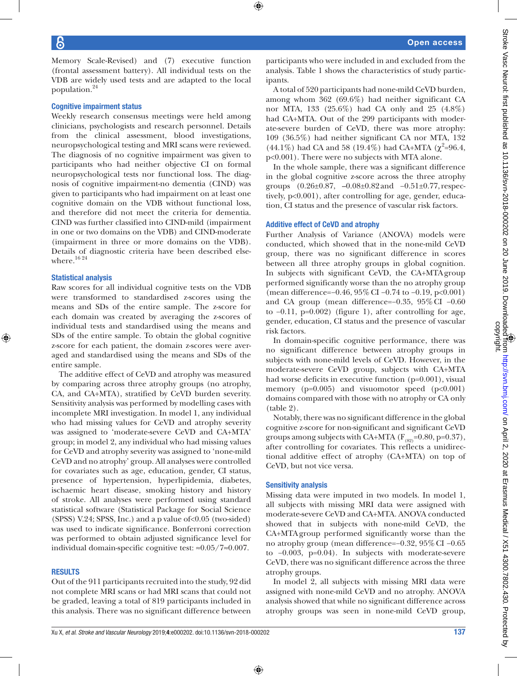Memory Scale-Revised) and (7) executive function (frontal assessment battery). All individual tests on the VDB are widely used tests and are adapted to the local population.24

## Cognitive impairment status

Weekly research consensus meetings were held among clinicians, psychologists and research personnel. Details from the clinical assessment, blood investigations, neuropsychological testing and MRI scans were reviewed. The diagnosis of no cognitive impairment was given to participants who had neither objective CI on formal neuropsychological tests nor functional loss. The diagnosis of cognitive impairment-no dementia (CIND) was given to participants who had impairment on at least one cognitive domain on the VDB without functional loss, and therefore did not meet the criteria for dementia. CIND was further classified into CIND-mild (impairment in one or two domains on the VDB) and CIND-moderate (impairment in three or more domains on the VDB). Details of diagnostic criteria have been described elsewhere. $16\,24$ 

## Statistical analysis

⊕

Raw scores for all individual cognitive tests on the VDB were transformed to standardised z-scores using the means and SDs of the entire sample. The z-score for each domain was created by averaging the z-scores of individual tests and standardised using the means and SDs of the entire sample. To obtain the global cognitive z-score for each patient, the domain z-scores were averaged and standardised using the means and SDs of the entire sample.

The additive effect of CeVD and atrophy was measured by comparing across three atrophy groups (no atrophy, CA, and CA+MTA), stratified by CeVD burden severity. Sensitivity analysis was performed by modelling cases with incomplete MRI investigation. In model 1, any individual who had missing values for CeVD and atrophy severity was assigned to 'moderate-severe CeVD and CA+MTA' group; in model 2, any individual who had missing values for CeVD and atrophy severity was assigned to 'none-mild CeVD and no atrophy' group. All analyses were controlled for covariates such as age, education, gender, CI status, presence of hypertension, hyperlipidemia, diabetes, ischaemic heart disease, smoking history and history of stroke. All analyses were performed using standard statistical software (Statistical Package for Social Science (SPSS) V.24; SPSS, Inc.) and a p value of<0.05 (two-sided) was used to indicate significance. Bonferroni correction was performed to obtain adjusted significance level for individual domain-specific cognitive test: ≈0.05/7≈0.007.

#### **RESULTS**

Out of the 911 participants recruited into the study, 92 did not complete MRI scans or had MRI scans that could not be graded, leaving a total of 819 participants included in this analysis. There was no significant difference between participants who were included in and excluded from the analysis. Table 1 shows the characteristics of study participants.

A total of 520 participants had none-mild CeVD burden, among whom 362 (69.6%) had neither significant CA nor MTA, 133 (25.6%) had CA only and 25 (4.8%) had CA+MTA. Out of the 299 participants with moderate-severe burden of CeVD, there was more atrophy: 109 (36.5%) had neither significant CA nor MTA, 132 (44.1%) had CA and 58 (19.4%) had CA+MTA ( $\chi^2$ =96.4, p<0.001). There were no subjects with MTA alone.

In the whole sample, there was a significant difference in the global cognitive z-score across the three atrophy groups (0.26±0.87, –0.08±0.82and −0.51±0.77, respectively, p<0.001), after controlling for age, gender, education, CI status and the presence of vascular risk factors.

#### Additive effect of CeVD and atrophy

Further Analysis of Variance (ANOVA) models were conducted, which showed that in the none-mild CeVD group, there was no significant difference in scores between all three atrophy groups in global cognition. In subjects with significant CeVD, the CA+MTAgroup performed significantly worse than the no atrophy group (mean difference=−0.46, 95%CI −0.74 to −0.19, p<0.001) and CA group (mean difference=−0.35, 95%CI −0.60 to −0.11, p=0.002) (figure 1), after controlling for age, gender, education, CI status and the presence of vascular risk factors.

In domain-specific cognitive performance, there was no significant difference between atrophy groups in subjects with none-mild levels of CeVD. However, in the moderate-severe CeVD group, subjects with CA+MTA had worse deficits in executive function (p=0.001), visual memory (p=0.005) and visuomotor speed (p<0.001) domains compared with those with no atrophy or CA only (table 2).

Notably, there was no significant difference in the global cognitive z-score for non-significant and significant CeVD groups among subjects with CA+MTA ( $F_{(82)}$ =0.80, p=0.37), after controlling for covariates. This reflects a unidirectional additive effect of atrophy (CA+MTA) on top of CeVD, but not vice versa.

## Sensitivity analysis

⊕

Missing data were imputed in two models. In model 1, all subjects with missing MRI data were assigned with moderate-severe CeVD and CA+MTA. ANOVA conducted showed that in subjects with none-mild CeVD, the CA+MTAgroup performed significantly worse than the no atrophy group (mean difference=−0.32, 95%CI −0.65 to −0.003, p=0.04). In subjects with moderate-severe CeVD, there was no significant difference across the three atrophy groups.

In model 2, all subjects with missing MRI data were assigned with none-mild CeVD and no atrophy. ANOVA analysis showed that while no significant difference across atrophy groups was seen in none-mild CeVD group,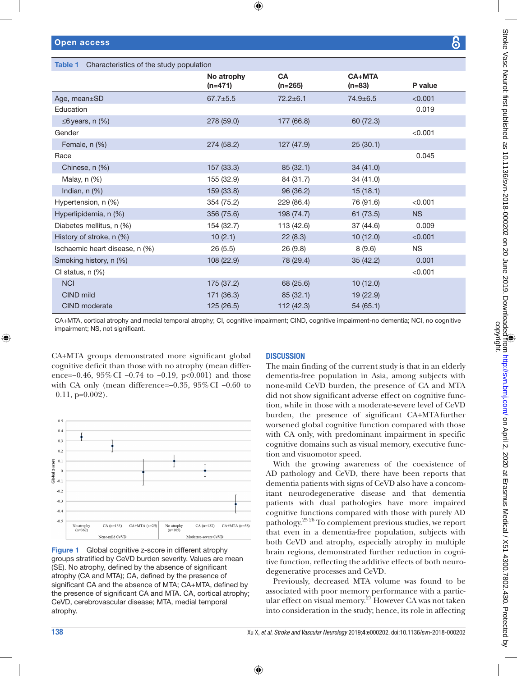|  | <b>Open access</b> |
|--|--------------------|
|  |                    |
|  |                    |
|  |                    |
|  |                    |
|  |                    |
|  |                    |
|  |                    |

| Characteristics of the study population<br>Table 1 |                         |                        |                           |           |  |  |  |  |  |  |
|----------------------------------------------------|-------------------------|------------------------|---------------------------|-----------|--|--|--|--|--|--|
|                                                    | No atrophy<br>$(n=471)$ | <b>CA</b><br>$(n=265)$ | <b>CA+MTA</b><br>$(n=83)$ | P value   |  |  |  |  |  |  |
| Age, mean±SD                                       | $67.7 + 5.5$            | $72.2 \pm 6.1$         | $74.9 + 6.5$              | < 0.001   |  |  |  |  |  |  |
| Education                                          |                         |                        |                           | 0.019     |  |  |  |  |  |  |
| $\leq$ 6 years, n (%)                              | 278 (59.0)              | 177 (66.8)             | 60 (72.3)                 |           |  |  |  |  |  |  |
| Gender                                             |                         |                        |                           | < 0.001   |  |  |  |  |  |  |
| Female, n (%)                                      | 274 (58.2)              | 127 (47.9)             | 25(30.1)                  |           |  |  |  |  |  |  |
| Race                                               |                         |                        |                           | 0.045     |  |  |  |  |  |  |
| Chinese, n (%)                                     | 157 (33.3)              | 85 (32.1)              | 34(41.0)                  |           |  |  |  |  |  |  |
| Malay, n (%)                                       | 155 (32.9)              | 84 (31.7)              | 34 (41.0)                 |           |  |  |  |  |  |  |
| Indian, $n$ $(\%)$                                 | 159 (33.8)              | 96 (36.2)              | 15(18.1)                  |           |  |  |  |  |  |  |
| Hypertension, n (%)                                | 354 (75.2)              | 229 (86.4)             | 76 (91.6)                 | < 0.001   |  |  |  |  |  |  |
| Hyperlipidemia, n (%)                              | 356 (75.6)              | 198 (74.7)             | 61(73.5)                  | <b>NS</b> |  |  |  |  |  |  |
| Diabetes mellitus, n (%)                           | 154 (32.7)              | 113 (42.6)             | 37 (44.6)                 | 0.009     |  |  |  |  |  |  |
| History of stroke, n (%)                           | 10(2.1)                 | 22(8.3)                | 10(12.0)                  | < 0.001   |  |  |  |  |  |  |
| Ischaemic heart disease, n (%)                     | 26(5.5)                 | 26(9.8)                | 8(9.6)                    | <b>NS</b> |  |  |  |  |  |  |
| Smoking history, n (%)                             | 108 (22.9)              | 78 (29.4)              | 35(42.2)                  | 0.001     |  |  |  |  |  |  |
| CI status, n (%)                                   |                         |                        |                           | < 0.001   |  |  |  |  |  |  |
| <b>NCI</b>                                         | 175 (37.2)              | 68 (25.6)              | 10(12.0)                  |           |  |  |  |  |  |  |
| CIND mild                                          | 171 (36.3)              | 85(32.1)               | 19(22.9)                  |           |  |  |  |  |  |  |
| <b>CIND</b> moderate                               | 125 (26.5)              | 112(42.3)              | 54(65.1)                  |           |  |  |  |  |  |  |

⊕

CA+MTA, cortical atrophy and medial temporal atrophy; CI, cognitive impairment; CIND, cognitive impairment-no dementia; NCI, no cognitive impairment; NS, not significant.

⊕

CA+MTA groups demonstrated more significant global cognitive deficit than those with no atrophy (mean difference=−0.46, 95%CI −0.74 to −0.19, p<0.001) and those with CA only (mean difference=−0.35, 95%CI −0.60 to −0.11, p=0.002).



**Figure 1** Global cognitive z-score in different atrophy groups stratified by CeVD burden severity. Values are mean (SE). No atrophy, defined by the absence of significant atrophy (CA and MTA); CA, defined by the presence of significant CA and the absence of MTA; CA+MTA, defined by the presence of significant CA and MTA. CA, cortical atrophy; CeVD, cerebrovascular disease; MTA, medial temporal atrophy.

## **DISCUSSION**

The main finding of the current study is that in an elderly dementia-free population in Asia, among subjects with none-mild CeVD burden, the presence of CA and MTA did not show significant adverse effect on cognitive function, while in those with a moderate-severe level of CeVD burden, the presence of significant CA+MTAfurther worsened global cognitive function compared with those with CA only, with predominant impairment in specific cognitive domains such as visual memory, executive function and visuomotor speed.

With the growing awareness of the coexistence of AD pathology and CeVD, there have been reports that dementia patients with signs of CeVD also have a concomitant neurodegenerative disease and that dementia patients with dual pathologies have more impaired cognitive functions compared with those with purely AD pathology.25 26 To complement previous studies, we report that even in a dementia-free population, subjects with both CeVD and atrophy, especially atrophy in multiple brain regions, demonstrated further reduction in cognitive function, reflecting the additive effects of both neurodegenerative processes and CeVD.

Previously, decreased MTA volume was found to be associated with poor memory performance with a particular effect on visual memory.<sup>27</sup> However CA was not taken into consideration in the study; hence, its role in affecting

## 138 Xu X, *et al*. *Stroke and Vascular Neurology* 2019;4:e000202. doi:10.1136/svn-2018-000202

⊕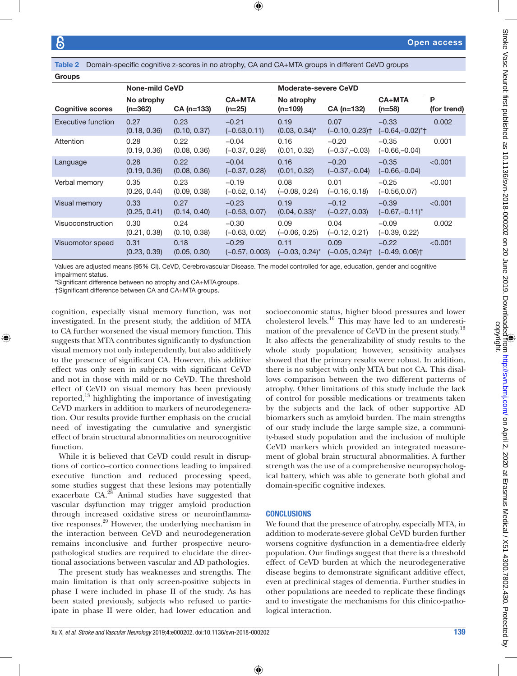⊕

Table 2 Domain-specific cognitive z-scores in no atrophy, CA and CA+MTA groups in different CeVD groups

| <b>Groups</b>           |                         |                      |                             |                             |                            |                                         |                  |  |  |  |  |
|-------------------------|-------------------------|----------------------|-----------------------------|-----------------------------|----------------------------|-----------------------------------------|------------------|--|--|--|--|
|                         | <b>None-mild CeVD</b>   |                      |                             | <b>Moderate-severe CeVD</b> |                            |                                         |                  |  |  |  |  |
| <b>Cognitive scores</b> | No atrophy<br>$(n=362)$ | $CA (n=133)$         | <b>CA+MTA</b><br>$(n=25)$   | No atrophy<br>$(n=109)$     | $CA (n=132)$               | <b>CA+MTA</b><br>$(n=58)$               | Р<br>(for trend) |  |  |  |  |
| Executive function      | 0.27<br>(0.18, 0.36)    | 0.23<br>(0.10, 0.37) | $-0.21$<br>$(-0.53, 0.11)$  | 0.19<br>$(0.03, 0.34)^{*}$  | 0.07<br>$(-0.10, 0.23)$    | $-0.33$<br>$(-0.64,-0.02)$ *†           | 0.002            |  |  |  |  |
| Attention               | 0.28<br>(0.19, 0.36)    | 0.22<br>(0.08, 0.36) | $-0.04$<br>$(-0.37, 0.28)$  | 0.16<br>(0.01, 0.32)        | $-0.20$<br>$(-0.37,-0.03)$ | $-0.35$<br>$(-0.66,-0.04)$              | 0.001            |  |  |  |  |
| Language                | 0.28<br>(0.19, 0.36)    | 0.22<br>(0.08, 0.36) | $-0.04$<br>$(-0.37, 0.28)$  | 0.16<br>(0.01, 0.32)        | $-0.20$<br>$(-0.37,-0.04)$ | $-0.35$<br>$(-0.66,-0.04)$              | < 0.001          |  |  |  |  |
| Verbal memory           | 0.35<br>(0.26, 0.44)    | 0.23<br>(0.09, 0.38) | $-0.19$<br>$(-0.52, 0.14)$  | 0.08<br>$(-0.08, 0.24)$     | 0.01<br>$(-0.16, 0.18)$    | $-0.25$<br>$(-0.56, 0.07)$              | < 0.001          |  |  |  |  |
| Visual memory           | 0.33<br>(0.25, 0.41)    | 0.27<br>(0.14, 0.40) | $-0.23$<br>$(-0.53, 0.07)$  | 0.19<br>$(0.04, 0.33)^{*}$  | $-0.12$<br>$(-0.27, 0.03)$ | $-0.39$<br>$(-0.67,-0.11)^{*}$          | < 0.001          |  |  |  |  |
| Visuoconstruction       | 0.30<br>(0.21, 0.38)    | 0.24<br>(0.10, 0.38) | $-0.30$<br>$(-0.63, 0.02)$  | 0.09<br>$(-0.06, 0.25)$     | 0.04<br>$(-0.12, 0.21)$    | $-0.09$<br>$(-0.39, 0.22)$              | 0.002            |  |  |  |  |
| Visuomotor speed        | 0.31<br>(0.23, 0.39)    | 0.18<br>(0.05, 0.30) | $-0.29$<br>$(-0.57, 0.003)$ | 0.11<br>$(-0.03, 0.24)^{*}$ | 0.09<br>$(-0.05, 0.24)$    | $-0.22$<br>$(-0.49, 0.06)$ <sup>+</sup> | < 0.001          |  |  |  |  |

⊕

Values are adjusted means (95% CI). CeVD, Cerebrovascular Disease. The model controlled for age, education, gender and cognitive impairment status.

\*Significant difference between no atrophy and CA+MTAgroups.

†Significant difference between CA and CA+MTA groups.

cognition, especially visual memory function, was not investigated. In the present study, the addition of MTA to CA further worsened the visual memory function. This suggests that MTA contributes significantly to dysfunction visual memory not only independently, but also additively to the presence of significant CA. However, this additive effect was only seen in subjects with significant CeVD and not in those with mild or no CeVD. The threshold effect of CeVD on visual memory has been previously reported, $^{13}$  highlighting the importance of investigating CeVD markers in addition to markers of neurodegeneration. Our results provide further emphasis on the crucial need of investigating the cumulative and synergistic effect of brain structural abnormalities on neurocognitive function.

While it is believed that CeVD could result in disruptions of cortico–cortico connections leading to impaired executive function and reduced processing speed, some studies suggest that these lesions may potentially exacerbate CA.28 Animal studies have suggested that vascular dsyfunction may trigger amyloid production through increased oxidative stress or neuroinflammative responses.<sup>29</sup> However, the underlying mechanism in the interaction between CeVD and neurodegeneration remains inconclusive and further prospective neuropathological studies are required to elucidate the directional associations between vascular and AD pathologies.

The present study has weaknesses and strengths. The main limitation is that only screen-positive subjects in phase I were included in phase II of the study. As has been stated previously, subjects who refused to participate in phase II were older, had lower education and socioeconomic status, higher blood pressures and lower cholesterol levels.16 This may have led to an underestimation of the prevalence of CeVD in the present study.<sup>13</sup> It also affects the generalizability of study results to the whole study population; however, sensitivity analyses showed that the primary results were robust. In addition, there is no subject with only MTA but not CA. This disallows comparison between the two different patterns of atrophy. Other limitations of this study include the lack of control for possible medications or treatments taken by the subjects and the lack of other supportive AD biomarkers such as amyloid burden. The main strengths of our study include the large sample size, a community-based study population and the inclusion of multiple CeVD markers which provided an integrated measurement of global brain structural abnormalities. A further strength was the use of a comprehensive neuropsychological battery, which was able to generate both global and domain-specific cognitive indexes.

#### **CONCLUSIONS**

⊕

We found that the presence of atrophy, especially MTA, in addition to moderate-severe global CeVD burden further worsens cognitive dysfunction in a dementia-free elderly population. Our findings suggest that there is a threshold effect of CeVD burden at which the neurodegenerative disease begins to demonstrate significant additive effect, even at preclinical stages of dementia. Further studies in other populations are needed to replicate these findings and to investigate the mechanisms for this clinico-pathological interaction.